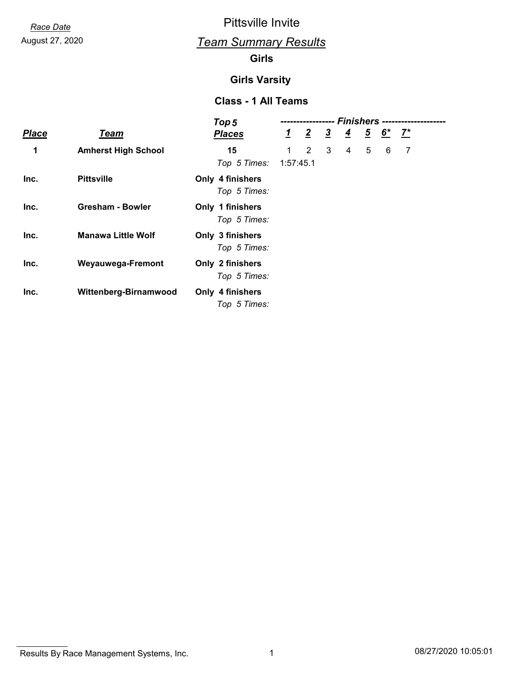*Race Date* Pittsville Invite

# August 27, 2020 *Team Summary Results*

#### **Girls**

#### **Girls Varsity**

#### **Class - 1 All Teams**

|              |                            | Top 5                            | Finishers ----<br> |                |               |                |   |                                           |   |  |
|--------------|----------------------------|----------------------------------|--------------------|----------------|---------------|----------------|---|-------------------------------------------|---|--|
| <b>Place</b> | <b>Team</b>                | <b>Places</b>                    | $1\overline{ }$    | $\overline{2}$ | $\frac{3}{2}$ | $\overline{4}$ |   | $\frac{5}{2}$ $\frac{6}{2}$ $\frac{7}{2}$ |   |  |
| 1            | <b>Amherst High School</b> | 15                               | $\mathbf 1$        | $\overline{2}$ | 3             | 4              | 5 | 6                                         | 7 |  |
|              |                            | Top 5 Times:                     | 1:57:45.1          |                |               |                |   |                                           |   |  |
| Inc.         | <b>Pittsville</b>          | Only 4 finishers<br>Top 5 Times: |                    |                |               |                |   |                                           |   |  |
| Inc.         | <b>Gresham - Bowler</b>    | Only 1 finishers<br>Top 5 Times: |                    |                |               |                |   |                                           |   |  |
| Inc.         | <b>Manawa Little Wolf</b>  | Only 3 finishers<br>Top 5 Times: |                    |                |               |                |   |                                           |   |  |
| Inc.         | Weyauwega-Fremont          | Only 2 finishers<br>Top 5 Times: |                    |                |               |                |   |                                           |   |  |
| Inc.         | Wittenberg-Birnamwood      | Only 4 finishers<br>Top 5 Times: |                    |                |               |                |   |                                           |   |  |

Results By Race Management Systems, Inc. 1 08/27/2020 10:05:01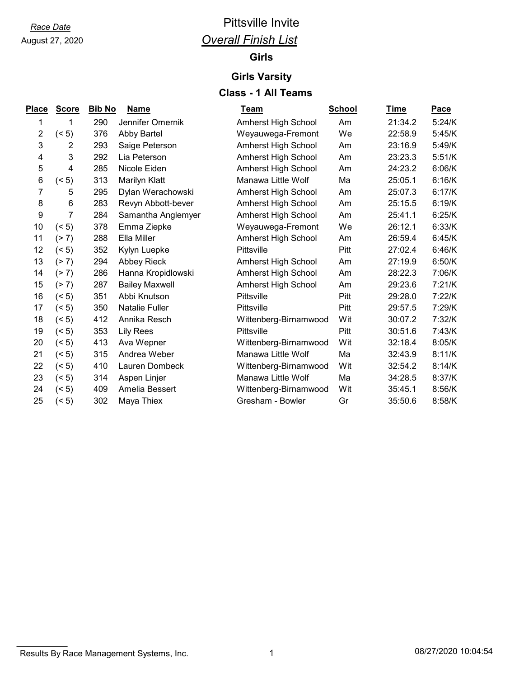# August 27, 2020

# *Race Date* Pittsville Invite *Overall Finish List*

## **Girls**

### **Girls Varsity**

### **Class - 1 All Teams**

| <u>Place</u>   | <b>Score</b> | <b>Bib No</b> | <b>Name</b>           | <b>Team</b>           | <b>School</b> | Time    | <b>Pace</b> |
|----------------|--------------|---------------|-----------------------|-----------------------|---------------|---------|-------------|
| 1              | 1            | 290           | Jennifer Omernik      | Amherst High School   | Am            | 21:34.2 | 5:24/K      |
| $\overline{2}$ | (5)          | 376           | Abby Bartel           | Weyauwega-Fremont     | We            | 22:58.9 | 5:45/K      |
| 3              | 2            | 293           | Saige Peterson        | Amherst High School   | Am            | 23:16.9 | 5:49/K      |
| 4              | 3            | 292           | Lia Peterson          | Amherst High School   | Am            | 23:23.3 | 5:51/K      |
| 5              | 4            | 285           | Nicole Eiden          | Amherst High School   | Am            | 24:23.2 | 6:06/K      |
| 6              | (5)          | 313           | Marilyn Klatt         | Manawa Little Wolf    | Ma            | 25:05.1 | 6:16/K      |
| 7              | 5            | 295           | Dylan Werachowski     | Amherst High School   | Am            | 25:07.3 | 6:17/K      |
| 8              | 6            | 283           | Revyn Abbott-bever    | Amherst High School   | Am            | 25:15.5 | 6:19/K      |
| 9              | 7            | 284           | Samantha Anglemyer    | Amherst High School   | Am            | 25:41.1 | 6:25/K      |
| 10             | (5)          | 378           | Emma Ziepke           | Weyauwega-Fremont     | We            | 26:12.1 | 6:33/K      |
| 11             | (2 7)        | 288           | Ella Miller           | Amherst High School   | Am            | 26:59.4 | 6:45/K      |
| 12             | (5)          | 352           | Kylyn Luepke          | Pittsville            | Pitt          | 27:02.4 | 6:46/K      |
| 13             | (2 7)        | 294           | Abbey Rieck           | Amherst High School   | Am            | 27:19.9 | 6:50/K      |
| 14             | (2 7)        | 286           | Hanna Kropidlowski    | Amherst High School   | Am            | 28:22.3 | 7:06/K      |
| 15             | (2 7)        | 287           | <b>Bailey Maxwell</b> | Amherst High School   | Am            | 29:23.6 | 7:21/K      |
| 16             | (5)          | 351           | Abbi Knutson          | Pittsville            | Pitt          | 29:28.0 | 7:22/K      |
| 17             | (5)          | 350           | <b>Natalie Fuller</b> | Pittsville            | Pitt          | 29:57.5 | 7:29/K      |
| 18             | (5)          | 412           | Annika Resch          | Wittenberg-Birnamwood | Wit           | 30:07.2 | 7:32/K      |
| 19             | (5)          | 353           | <b>Lily Rees</b>      | Pittsville            | Pitt          | 30:51.6 | 7:43/K      |
| 20             | (5)          | 413           | Ava Wepner            | Wittenberg-Birnamwood | Wit           | 32:18.4 | 8:05/K      |
| 21             | (5)          | 315           | Andrea Weber          | Manawa Little Wolf    | Ma            | 32:43.9 | 8:11/K      |
| 22             | (5)          | 410           | Lauren Dombeck        | Wittenberg-Birnamwood | Wit           | 32:54.2 | 8:14/K      |
| 23             | (5)          | 314           | Aspen Linjer          | Manawa Little Wolf    | Ma            | 34:28.5 | 8:37/K      |
| 24             | (5)          | 409           | Amelia Bessert        | Wittenberg-Birnamwood | Wit           | 35:45.1 | 8:56/K      |
| 25             | (5)          | 302           | Maya Thiex            | Gresham - Bowler      | Gr            | 35:50.6 | 8:58/K      |

### Results By Race Management Systems, Inc. 1 08/27/2020 10:04:54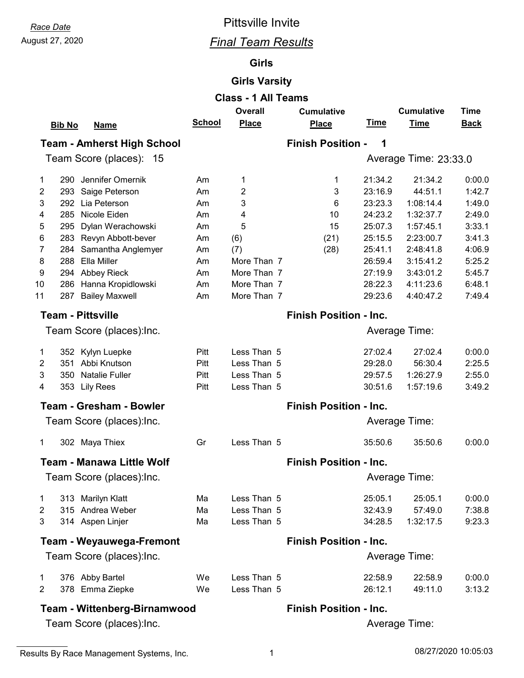# *Race Date* Pittsville Invite

# August 27, 2020 *Final Team Results*

#### **Girls**

#### **Girls Varsity**

| <b>Class - 1 All Teams</b> |                                                 |               |                    |                               |             |                       |             |  |  |
|----------------------------|-------------------------------------------------|---------------|--------------------|-------------------------------|-------------|-----------------------|-------------|--|--|
|                            |                                                 |               | <b>Overall</b>     | <b>Cumulative</b>             |             | <b>Cumulative</b>     | <b>Time</b> |  |  |
|                            | <b>Bib No</b><br><b>Name</b>                    | <b>School</b> | <b>Place</b>       | <b>Place</b>                  | <u>Time</u> | <b>Time</b>           | <b>Back</b> |  |  |
|                            | <b>Team - Amherst High School</b>               |               |                    | <b>Finish Position -</b>      | 1           |                       |             |  |  |
|                            | Team Score (places): 15                         |               |                    |                               |             | Average Time: 23:33.0 |             |  |  |
| 1                          | Jennifer Omernik<br>290                         | Am            | 1                  | 1                             | 21:34.2     | 21:34.2               | 0:00.0      |  |  |
| 2                          | 293 Saige Peterson                              | Am            | 2                  | 3                             | 23:16.9     | 44:51.1               | 1:42.7      |  |  |
| 3                          | 292 Lia Peterson                                | Am            | 3                  | 6                             | 23:23.3     | 1:08:14.4             | 1:49.0      |  |  |
| 4                          | 285 Nicole Eiden                                | Am            | 4                  | 10                            | 24:23.2     | 1:32:37.7             | 2:49.0      |  |  |
| 5                          | Dylan Werachowski<br>295                        |               | 5                  | 15                            | 25:07.3     | 1:57:45.1             | 3:33.1      |  |  |
| 6                          | 283                                             | Am            |                    |                               | 25:15.5     | 2:23:00.7             | 3:41.3      |  |  |
| 7                          | Revyn Abbott-bever                              | Am            | (6)                | (21)                          | 25:41.1     | 2:48:41.8             | 4:06.9      |  |  |
|                            | Samantha Anglemyer<br>284<br>288<br>Ella Miller | Am            | (7)<br>More Than 7 | (28)                          | 26:59.4     |                       |             |  |  |
| 8                          |                                                 | Am            |                    |                               |             | 3:15:41.2             | 5:25.2      |  |  |
| 9                          | 294 Abbey Rieck                                 | Am            | More Than 7        |                               | 27:19.9     | 3:43:01.2             | 5:45.7      |  |  |
| 10                         | Hanna Kropidlowski<br>286                       | Am            | More Than 7        |                               | 28:22.3     | 4:11:23.6             | 6:48.1      |  |  |
| 11                         | 287<br><b>Bailey Maxwell</b>                    | Am            | More Than 7        |                               | 29:23.6     | 4:40:47.2             | 7:49.4      |  |  |
|                            | <b>Team - Pittsville</b>                        |               |                    | <b>Finish Position - Inc.</b> |             |                       |             |  |  |
|                            | Team Score (places):Inc.                        |               |                    |                               |             | Average Time:         |             |  |  |
| 1                          | 352 Kylyn Luepke                                | Pitt          | Less Than 5        |                               | 27:02.4     | 27:02.4               | 0:00.0      |  |  |
| 2                          | 351 Abbi Knutson                                | Pitt          | Less Than 5        |                               | 29:28.0     | 56:30.4               | 2:25.5      |  |  |
| 3                          | 350 Natalie Fuller                              | Pitt          | Less Than 5        |                               | 29:57.5     | 1:26:27.9             | 2:55.0      |  |  |
| 4                          | 353 Lily Rees                                   | Pitt          | Less Than 5        |                               | 30:51.6     | 1:57:19.6             | 3:49.2      |  |  |
|                            | <b>Team - Gresham - Bowler</b>                  |               |                    | <b>Finish Position - Inc.</b> |             |                       |             |  |  |
|                            | Team Score (places): Inc.                       |               |                    |                               |             | <b>Average Time:</b>  |             |  |  |
| 1                          | 302 Maya Thiex                                  | Gr            | Less Than 5        |                               | 35:50.6     | 35:50.6               | 0:00.0      |  |  |
|                            | <b>Team - Manawa Little Wolf</b>                |               |                    | <b>Finish Position - Inc.</b> |             |                       |             |  |  |
|                            | Team Score (places):Inc.                        |               |                    |                               |             | Average Time:         |             |  |  |
| 1                          | 313 Marilyn Klatt                               | Ma            | Less Than 5        |                               | 25:05.1     | 25:05.1               | 0:00.0      |  |  |
| $\overline{2}$             | 315 Andrea Weber                                | Ma            | Less Than 5        |                               | 32:43.9     | 57:49.0               | 7:38.8      |  |  |
| $\mathfrak{B}$             | 314 Aspen Linjer                                | Ma            | Less Than 5        |                               | 34:28.5     | 1:32:17.5             | 9:23.3      |  |  |
|                            | <b>Team - Weyauwega-Fremont</b>                 |               |                    | <b>Finish Position - Inc.</b> |             |                       |             |  |  |
|                            | Team Score (places): Inc.                       |               |                    |                               |             | Average Time:         |             |  |  |
|                            |                                                 |               |                    |                               |             |                       |             |  |  |
| 1                          | 376 Abby Bartel                                 | We            | Less Than 5        |                               | 22:58.9     | 22:58.9               | 0:00.0      |  |  |
| $\overline{2}$             | 378 Emma Ziepke                                 | We            | Less Than 5        |                               | 26:12.1     | 49:11.0               | 3:13.2      |  |  |
|                            | <b>Team - Wittenberg-Birnamwood</b>             |               |                    | <b>Finish Position - Inc.</b> |             |                       |             |  |  |
|                            | Team Score (places): Inc.                       |               |                    |                               |             | Average Time:         |             |  |  |